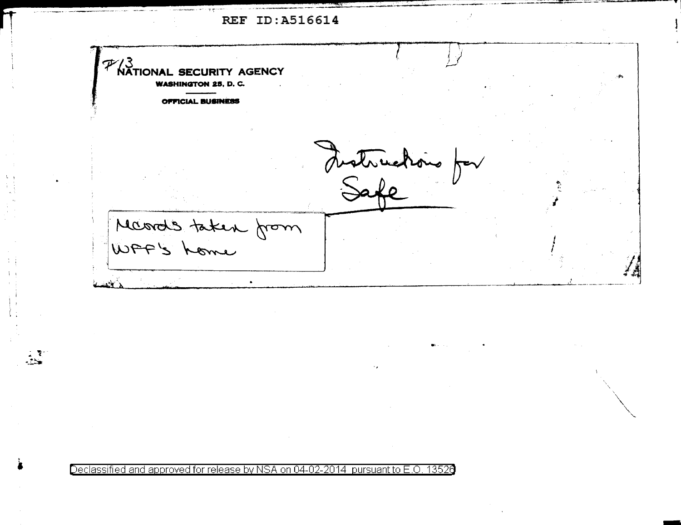

Declassified and approved for release by NSA on 04-02-2014. pursuant to E.O |3526

 $\mathbb{R}$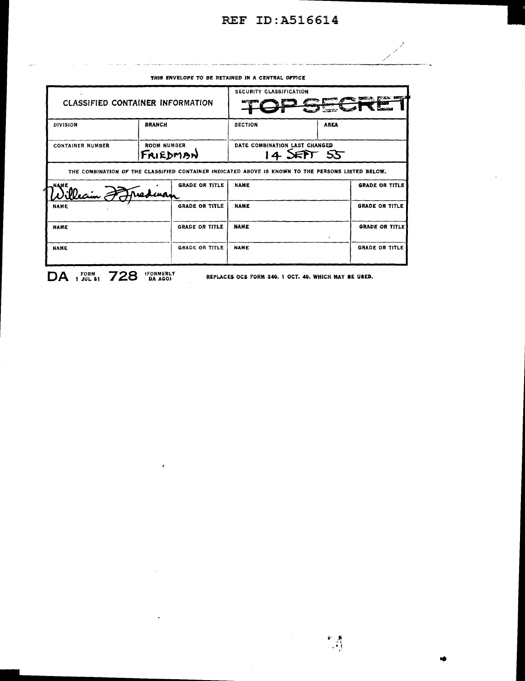D

|                         | <b>CLASSIFIED CONTAINER INFORMATION</b>                                                           | SECURITY CLASSIFICATION                       |                                                |
|-------------------------|---------------------------------------------------------------------------------------------------|-----------------------------------------------|------------------------------------------------|
| <b>DIVISION</b>         | <b>BRANCH</b>                                                                                     | <b>SECTION</b>                                | <b>AREA</b>                                    |
| <b>CONTAINER NUMBER</b> | <b>ROOM NUMBER</b><br>FRIEDMAN                                                                    | DATE COMBINATION LAST CHANGED<br>$14$ SEPT 55 |                                                |
|                         | THE COMBINATION OF THE CLASSIFIED CONTAINER INDICATED ABOVE IS KNOWN TO THE PERSONS LISTED BELOW. |                                               |                                                |
|                         |                                                                                                   |                                               |                                                |
| NAME                    | <b>GRADE OR TITLE</b>                                                                             | <b>NAME</b>                                   |                                                |
| <b>NAME</b>             | <b>GRADE OR TITLE</b>                                                                             | <b>NAME</b>                                   | <b>GRADE OR TITLE</b><br><b>GRADE OR TITLE</b> |
| <b>NAME</b>             | <b>GRADE OR TITLE</b>                                                                             | <b>NAME</b>                                   | <b>GRADE OR TITLE</b>                          |

THE FUVELOPE TO BE DETAINED IN A CENTRAL OF

 $\pmb{\ast}$ 

 $\mathbf{r}$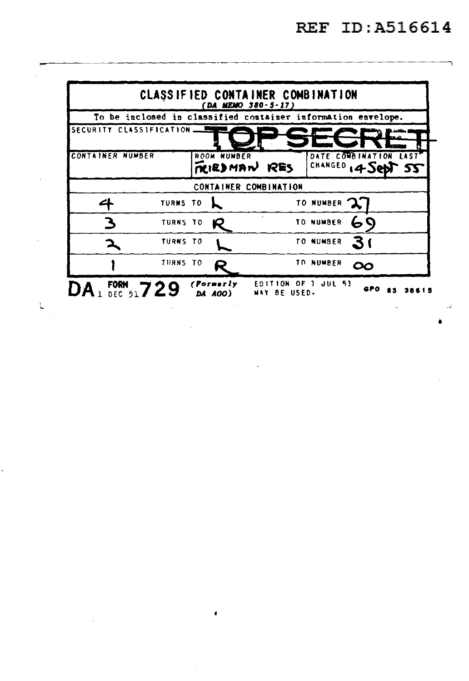

L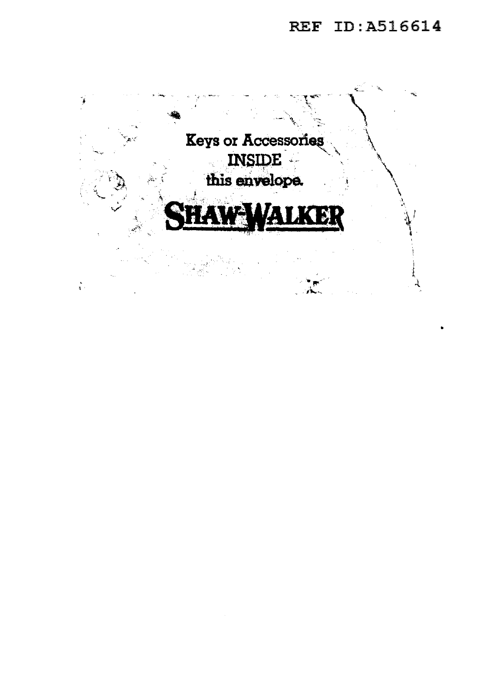